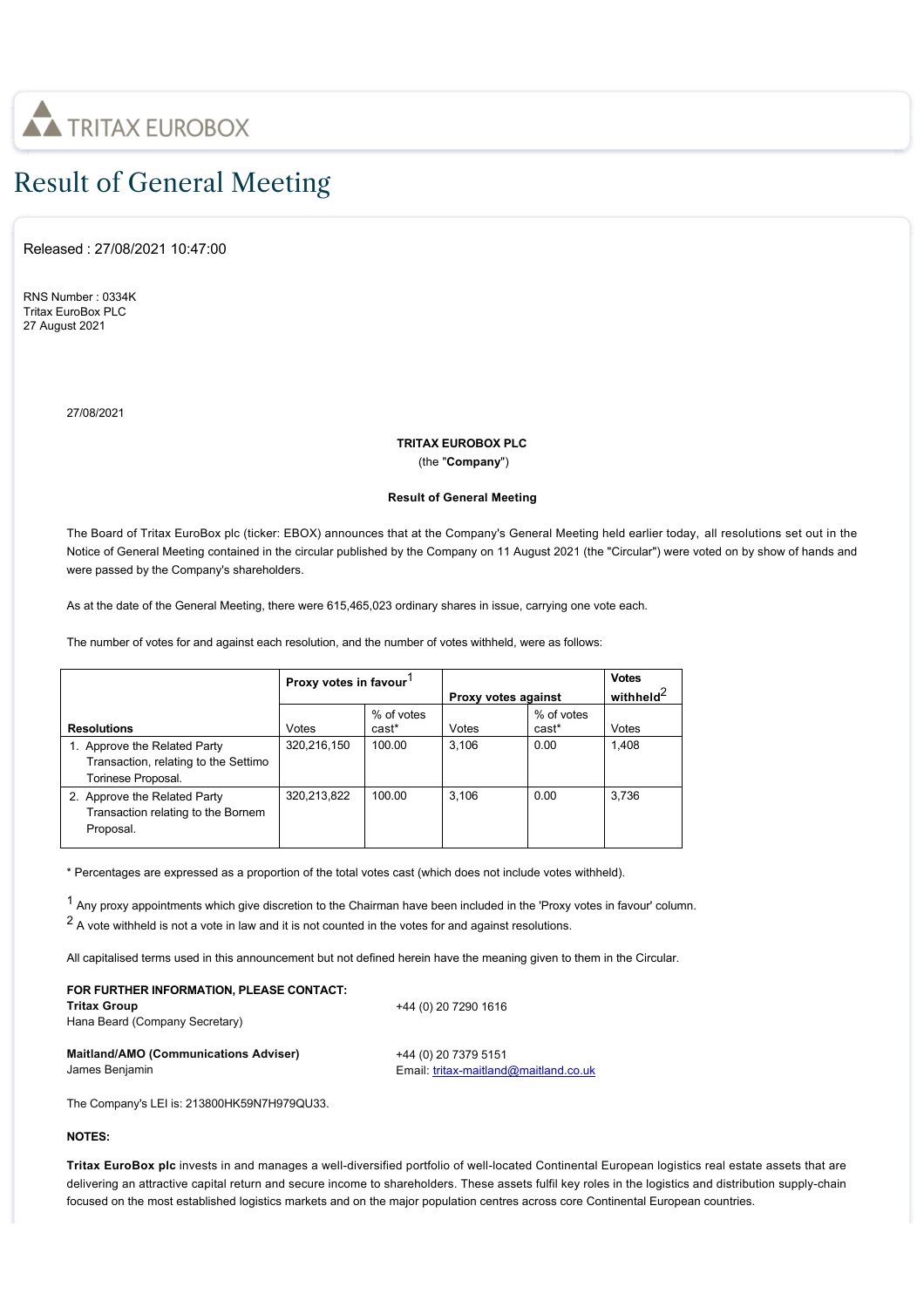

## Result of General Meeting

Released : 27/08/2021 10:47:00

RNS Number : 0334K Tritax EuroBox PLC 27 August 2021

27/08/2021

## **TRITAX EUROBOX PLC** (the "**Company**")

## **Result of General Meeting**

The Board of Tritax EuroBox plc (ticker: EBOX) announces that at the Company's General Meeting held earlier today, all resolutions set out in the Notice of General Meeting contained in the circular published by the Company on 11 August 2021 (the "Circular") were voted on by show of hands and were passed by the Company's shareholders.

As at the date of the General Meeting, there were 615,465,023 ordinary shares in issue, carrying one vote each.

The number of votes for and against each resolution, and the number of votes withheld, were as follows:

|                                                                                            | Proxy votes in favour |                     | Proxy votes against |                     | <b>Votes</b><br>withheld <sup>2</sup> |
|--------------------------------------------------------------------------------------------|-----------------------|---------------------|---------------------|---------------------|---------------------------------------|
| <b>Resolutions</b>                                                                         | Votes                 | % of votes<br>cast* | Votes               | % of votes<br>cast* | Votes                                 |
| 1. Approve the Related Party<br>Transaction, relating to the Settimo<br>Torinese Proposal. | 320.216.150           | 100.00              | 3.106               | 0.00                | 1.408                                 |
| 2. Approve the Related Party<br>Transaction relating to the Bornem<br>Proposal.            | 320,213,822           | 100.00              | 3.106               | 0.00                | 3.736                                 |

\* Percentages are expressed as a proportion of the total votes cast (which does not include votes withheld).

1 Any proxy appointments which give discretion to the Chairman have been included in the 'Proxy votes in favour' column.

 $2$  A vote withheld is not a vote in law and it is not counted in the votes for and against resolutions.

All capitalised terms used in this announcement but not defined herein have the meaning given to them in the Circular.

| FOR FURTHER INFORMATION. PLEASE CONTACT:<br><b>Tritax Group</b><br>Hana Beard (Company Secretary) | +44 (0) 20 7290 1616                  |
|---------------------------------------------------------------------------------------------------|---------------------------------------|
| <b>Maitland/AMO (Communications Adviser)</b>                                                      | +44 (0) 20 7379 5151                  |
| James Benjamin                                                                                    | Email: tritax-maitland@maitland.co.uk |

The Company's LEI is: 213800HK59N7H979QU33.

## **NOTES:**

**Tritax EuroBox plc** invests in and manages a well-diversified portfolio of well-located Continental European logistics real estate assets that are delivering an attractive capital return and secure income to shareholders. These assets fulfil key roles in the logistics and distribution supply-chain focused on the most established logistics markets and on the major population centres across core Continental European countries.